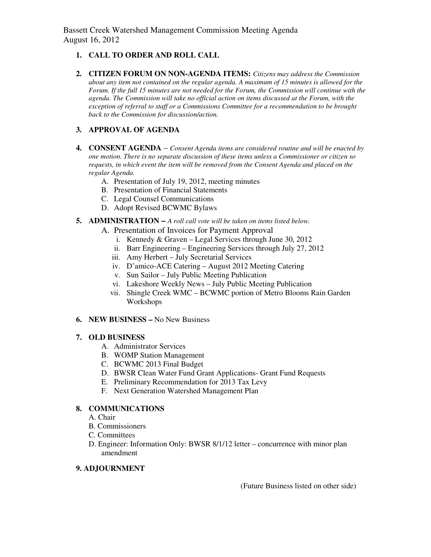Bassett Creek Watershed Management Commission Meeting Agenda August 16, 2012

## **1. CALL TO ORDER AND ROLL CALL**

**2. CITIZEN FORUM ON NON-AGENDA ITEMS:** *Citizens may address the Commission about any item not contained on the regular agenda. A maximum of 15 minutes is allowed for the Forum. If the full 15 minutes are not needed for the Forum, the Commission will continue with the agenda. The Commission will take no official action on items discussed at the Forum, with the exception of referral to staff or a Commissions Committee for a recommendation to be brought back to the Commission for discussion/action.* 

## **3. APPROVAL OF AGENDA**

- **4. CONSENT AGENDA** *Consent Agenda items are considered routine and will be enacted by one motion. There is no separate discussion of these items unless a Commissioner or citizen so requests, in which event the item will be removed from the Consent Agenda and placed on the regular Agenda.* 
	- A. Presentation of July 19, 2012, meeting minutes
	- B. Presentation of Financial Statements
	- C. Legal Counsel Communications
	- D. Adopt Revised BCWMC Bylaws
- **5. ADMINISTRATION** *A roll call vote will be taken on items listed below.*
	- A. Presentation of Invoices for Payment Approval
		- i. Kennedy & Graven Legal Services through June 30, 2012
		- ii. Barr Engineering Engineering Services through July 27, 2012
		- iii. Amy Herbert July Secretarial Services
		- iv. D'amico-ACE Catering August 2012 Meeting Catering
		- v. Sun Sailor July Public Meeting Publication
		- vi. Lakeshore Weekly News July Public Meeting Publication
		- vii. Shingle Creek WMC BCWMC portion of Metro Blooms Rain Garden Workshops
- **6. NEW BUSINESS** No New Business

#### **7. OLD BUSINESS**

- A. Administrator Services
- B. WOMP Station Management
- C. BCWMC 2013 Final Budget
- D. BWSR Clean Water Fund Grant Applications- Grant Fund Requests
- E. Preliminary Recommendation for 2013 Tax Levy
- F. Next Generation Watershed Management Plan

#### **8. COMMUNICATIONS**

- A. Chair
- B. Commissioners
- C. Committees
- D. Engineer: Information Only: BWSR 8/1/12 letter concurrence with minor plan amendment

### **9. ADJOURNMENT**

(Future Business listed on other side)